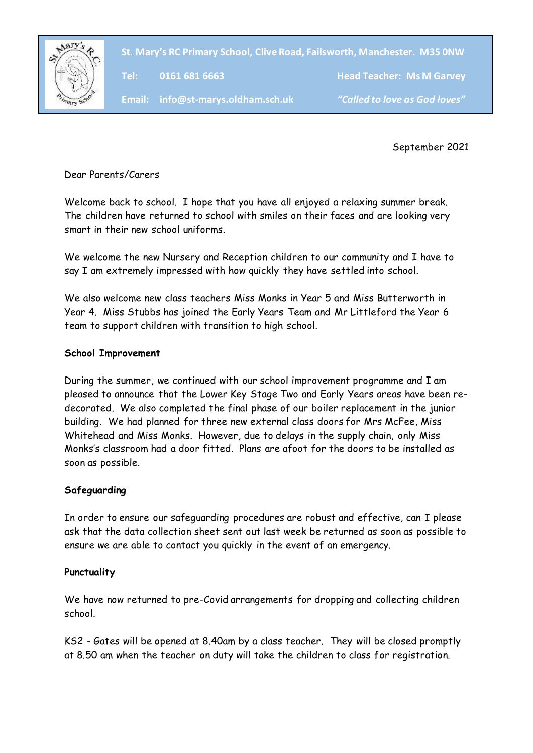

**St. Mary's RC Primary School, Clive Road, Failsworth, Manchester. M35 0NW**

Tel: 0161 681 6663

**Head Teacher: Ms M Garvey** 

**Email: info@st-marys.oldham.sch.uk** *"Called to love as God loves"*

September 2021

Dear Parents/Carers

Welcome back to school. I hope that you have all enjoyed a relaxing summer break. The children have returned to school with smiles on their faces and are looking very smart in their new school uniforms.

We welcome the new Nursery and Reception children to our community and I have to say I am extremely impressed with how quickly they have settled into school.

We also welcome new class teachers Miss Monks in Year 5 and Miss Butterworth in Year 4. Miss Stubbs has joined the Early Years Team and Mr Littleford the Year 6 team to support children with transition to high school.

## **School Improvement**

During the summer, we continued with our school improvement programme and I am pleased to announce that the Lower Key Stage Two and Early Years areas have been redecorated. We also completed the final phase of our boiler replacement in the junior building. We had planned for three new external class doors for Mrs McFee, Miss Whitehead and Miss Monks. However, due to delays in the supply chain, only Miss Monks's classroom had a door fitted. Plans are afoot for the doors to be installed as soon as possible.

## **Safeguarding**

In order to ensure our safeguarding procedures are robust and effective, can I please ask that the data collection sheet sent out last week be returned as soon as possible to ensure we are able to contact you quickly in the event of an emergency.

## **Punctuality**

We have now returned to pre-Covid arrangements for dropping and collecting children school.

KS2 - Gates will be opened at 8.40am by a class teacher. They will be closed promptly at 8.50 am when the teacher on duty will take the children to class for registration.